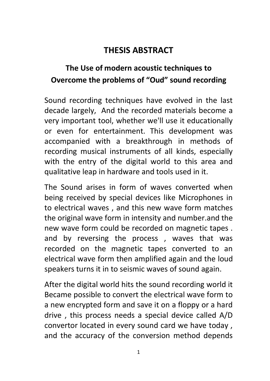# **THESIS ABSTRACT**

## **The Use of modern acoustic techniques to Overcome the problems of "Oud" sound recording**

Sound recording techniques have evolved in the last decade largely, And the recorded materials become a very important tool, whether we'll use it educationally or even for entertainment. This development was accompanied with a breakthrough in methods of recording musical instruments of all kinds, especially with the entry of the digital world to this area and qualitative leap in hardware and tools used in it.

The Sound arises in form of waves converted when being received by special devices like Microphones in to electrical waves , and this new wave form matches the original wave form in intensity and number.and the new wave form could be recorded on magnetic tapes . and by reversing the process , waves that was recorded on the magnetic tapes converted to an electrical wave form then amplified again and the loud speakers turns it in to seismic waves of sound again.

After the digital world hits the sound recording world it Became possible to convert the electrical wave form to a new encrypted form and save it on a floppy or a hard drive , this process needs a special device called A/D convertor located in every sound card we have today , and the accuracy of the conversion method depends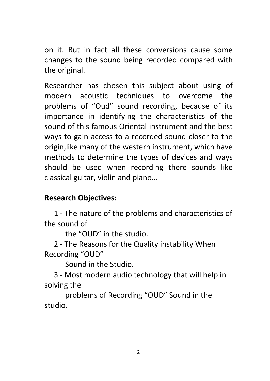on it. But in fact all these conversions cause some changes to the sound being recorded compared with the original.

Researcher has chosen this subject about using of modern acoustic techniques to overcome the problems of "Oud" sound recording, because of its importance in identifying the characteristics of the sound of this famous Oriental instrument and the best ways to gain access to a recorded sound closer to the origin,like many of the western instrument, which have methods to determine the types of devices and ways should be used when recording there sounds like classical guitar, violin and piano...

## **Research Objectives:**

 1 - The nature of the problems and characteristics of the sound of

the "OUD" in the studio.

 2 - The Reasons for the Quality instability When Recording "OUD"

Sound in the Studio.

 3 - Most modern audio technology that will help in solving the

 problems of Recording "OUD" Sound in the studio.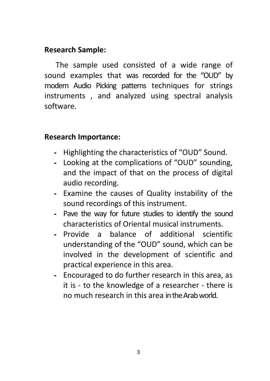#### **Research Sample:**

The sample used consisted of a wide range of sound examples that was recorded for the "OUD" by modern Audio Picking patterns techniques for strings instruments , and analyzed using spectral analysis software.

#### **Research Importance:**

- Highlighting the characteristics of "OUD" Sound.
- Looking at the complications of "OUD" sounding, and the impact of that on the process of digital audio recording.
- Examine the causes of Quality instability of the sound recordings of this instrument.
- Pave the way for future studies to identify the sound characteristics of Oriental musical instruments.
- Provide a balance of additional scientific understanding of the "OUD" sound, which can be involved in the development of scientific and practical experience in this area.
- Encouraged to do further research in this area, as it is - to the knowledge of a researcher - there is no much research in this area in the Arab world.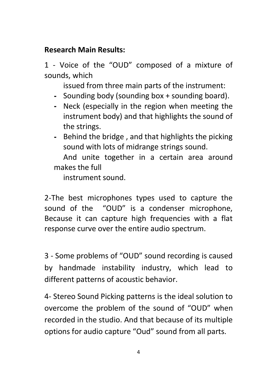## **Research Main Results:**

1 - Voice of the "OUD" composed of a mixture of sounds, which

issued from three main parts of the instrument:

- Sounding body (sounding box + sounding board).
- Neck (especially in the region when meeting the instrument body) and that highlights the sound of the strings.
- Behind the bridge , and that highlights the picking sound with lots of midrange strings sound.

 And unite together in a certain area around makes the full

instrument sound.

2-The best microphones types used to capture the sound of the "OUD" is a condenser microphone, Because it can capture high frequencies with a flat response curve over the entire audio spectrum.

3 - Some problems of "OUD" sound recording is caused by handmade instability industry, which lead to different patterns of acoustic behavior.

4- Stereo Sound Picking patterns is the ideal solution to overcome the problem of the sound of "OUD" when recorded in the studio. And that because of its multiple options for audio capture "Oud" sound from all parts.